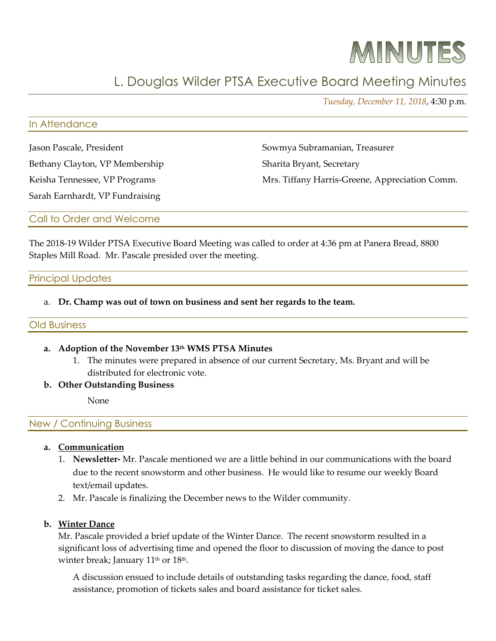# MINUTES

# L. Douglas Wilder PTSA Executive Board Meeting Minutes

*Tuesday, December 11, 2018*, 4:30 p.m.

#### In Attendance

Jason Pascale, President

Bethany Clayton, VP Membership

Keisha Tennessee, VP Programs

Sowmya Subramanian, Treasurer Sharita Bryant, Secretary Mrs. Tiffany Harris-Greene, Appreciation Comm.

Sarah Earnhardt, VP Fundraising

Call to Order and Welcome

The 2018-19 Wilder PTSA Executive Board Meeting was called to order at 4:36 pm at Panera Bread, 8800 Staples Mill Road. Mr. Pascale presided over the meeting.

# Principal Updates

a. **Dr. Champ was out of town on business and sent her regards to the team.** 

# Old Business

# **a. Adoption of the November 13th WMS PTSA Minutes**

- 1. The minutes were prepared in absence of our current Secretary, Ms. Bryant and will be distributed for electronic vote.
- **b. Other Outstanding Business**

None

New / Continuing Business

- **a. Communication**
	- 1. **Newsletter-** Mr. Pascale mentioned we are a little behind in our communications with the board due to the recent snowstorm and other business. He would like to resume our weekly Board text/email updates.
	- 2. Mr. Pascale is finalizing the December news to the Wilder community.

# **b. Winter Dance**

Mr. Pascale provided a brief update of the Winter Dance. The recent snowstorm resulted in a significant loss of advertising time and opened the floor to discussion of moving the dance to post winter break; January 11<sup>th</sup> or 18<sup>th</sup>.

A discussion ensued to include details of outstanding tasks regarding the dance, food, staff assistance, promotion of tickets sales and board assistance for ticket sales.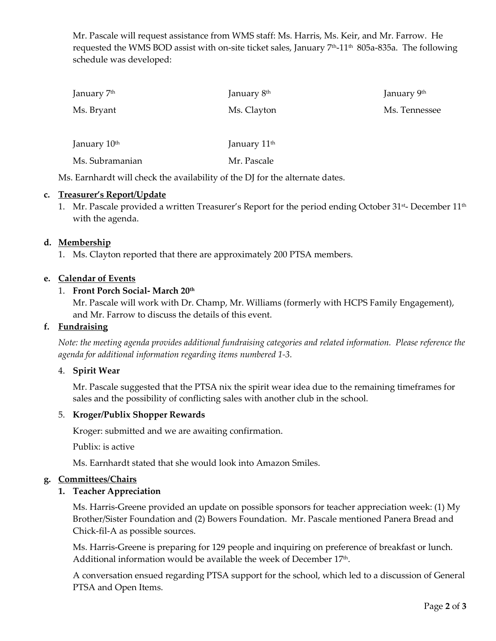Mr. Pascale will request assistance from WMS staff: Ms. Harris, Ms. Keir, and Mr. Farrow. He requested the WMS BOD assist with on-site ticket sales, January  $7<sup>th</sup>$ -11<sup>th</sup> 805a-835a. The following schedule was developed:

| January 7 <sup>th</sup>  | January 8 <sup>th</sup>  | January 9th   |
|--------------------------|--------------------------|---------------|
| Ms. Bryant               | Ms. Clayton              | Ms. Tennessee |
| January 10 <sup>th</sup> | January 11 <sup>th</sup> |               |
| Ms. Subramanian          | Mr. Pascale              |               |

Ms. Earnhardt will check the availability of the DJ for the alternate dates.

# **c. Treasurer's Report/Update**

1. Mr. Pascale provided a written Treasurer's Report for the period ending October 31st- December 11<sup>th</sup> with the agenda.

# **d. Membership**

1. Ms. Clayton reported that there are approximately 200 PTSA members.

# **e. Calendar of Events**

#### 1. **Front Porch Social- March 20th**

Mr. Pascale will work with Dr. Champ, Mr. Williams (formerly with HCPS Family Engagement), and Mr. Farrow to discuss the details of this event.

#### **f. Fundraising**

*Note: the meeting agenda provides additional fundraising categories and related information. Please reference the agenda for additional information regarding items numbered 1-3.* 

#### 4. **Spirit Wear**

Mr. Pascale suggested that the PTSA nix the spirit wear idea due to the remaining timeframes for sales and the possibility of conflicting sales with another club in the school.

#### 5. **Kroger/Publix Shopper Rewards**

Kroger: submitted and we are awaiting confirmation.

Publix: is active

Ms. Earnhardt stated that she would look into Amazon Smiles.

#### **g. Committees/Chairs**

#### **1. Teacher Appreciation**

Ms. Harris-Greene provided an update on possible sponsors for teacher appreciation week: (1) My Brother/Sister Foundation and (2) Bowers Foundation. Mr. Pascale mentioned Panera Bread and Chick-fil-A as possible sources.

Ms. Harris-Greene is preparing for 129 people and inquiring on preference of breakfast or lunch. Additional information would be available the week of December 17<sup>th</sup>.

A conversation ensued regarding PTSA support for the school, which led to a discussion of General PTSA and Open Items.